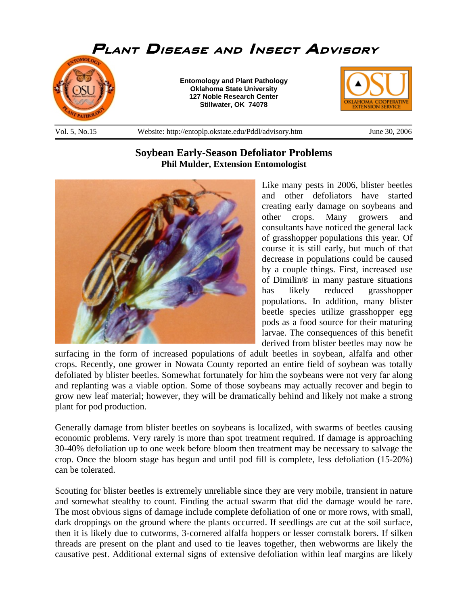

## **Soybean Early-Season Defoliator Problems Phil Mulder, Extension Entomologist**



Like many pests in 2006, blister beetles and other defoliators have started creating early damage on soybeans and other crops. Many growers and consultants have noticed the general lack of grasshopper populations this year. Of course it is still early, but much of that decrease in populations could be caused by a couple things. First, increased use of Dimilin® in many pasture situations has likely reduced grasshopper populations. In addition, many blister beetle species utilize grasshopper egg pods as a food source for their maturing larvae. The consequences of this benefit derived from blister beetles may now be

surfacing in the form of increased populations of adult beetles in soybean, alfalfa and other crops. Recently, one grower in Nowata County reported an entire field of soybean was totally defoliated by blister beetles. Somewhat fortunately for him the soybeans were not very far along and replanting was a viable option. Some of those soybeans may actually recover and begin to grow new leaf material; however, they will be dramatically behind and likely not make a strong plant for pod production.

Generally damage from blister beetles on soybeans is localized, with swarms of beetles causing economic problems. Very rarely is more than spot treatment required. If damage is approaching 30-40% defoliation up to one week before bloom then treatment may be necessary to salvage the crop. Once the bloom stage has begun and until pod fill is complete, less defoliation (15-20%) can be tolerated.

Scouting for blister beetles is extremely unreliable since they are very mobile, transient in nature and somewhat stealthy to count. Finding the actual swarm that did the damage would be rare. The most obvious signs of damage include complete defoliation of one or more rows, with small, dark droppings on the ground where the plants occurred. If seedlings are cut at the soil surface, then it is likely due to cutworms, 3-cornered alfalfa hoppers or lesser cornstalk borers. If silken threads are present on the plant and used to tie leaves together, then webworms are likely the causative pest. Additional external signs of extensive defoliation within leaf margins are likely